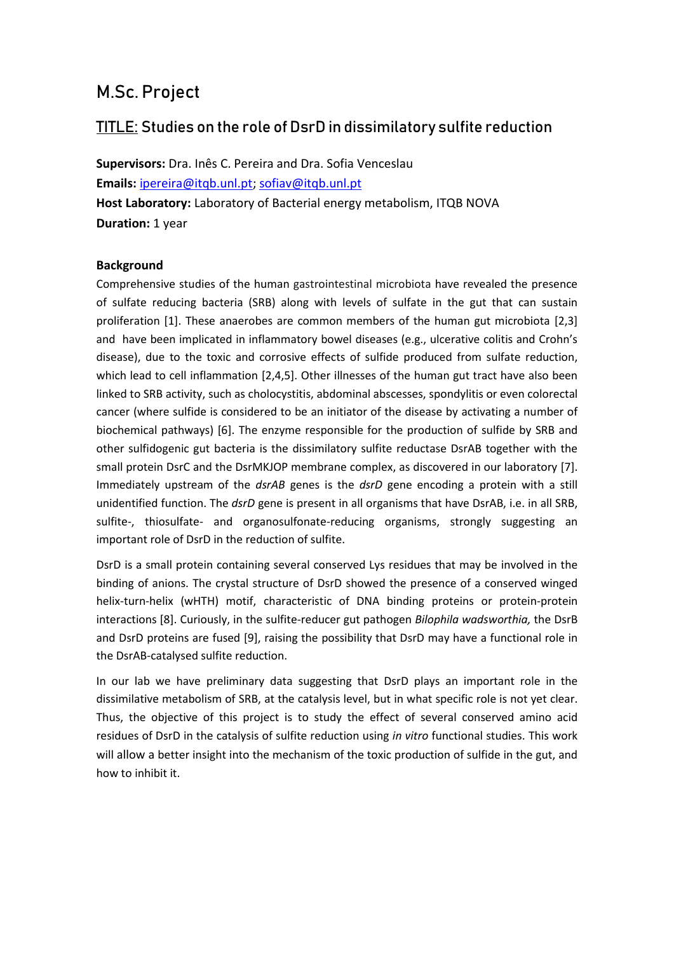# **M.Sc. Project**

## **TITLE: Studies on the role of DsrD in dissimilatory sulfite reduction**

**Supervisors:** Dra. Inês C. Pereira and Dra. Sofia Venceslau **Emails:** [ipereira@itqb.unl.pt;](mailto:ipereira@itqb.unl.pt) [sofiav@itqb.unl.pt](mailto:sofiav@itqb.unl.pt) **Host Laboratory:** Laboratory of Bacterial energy metabolism, ITQB NOVA **Duration:** 1 year

#### **Background**

Comprehensive studies of the human gastrointestinal microbiota have revealed the presence of sulfate reducing bacteria (SRB) along with levels of sulfate in the gut that can sustain proliferation [1]. These anaerobes are common members of the human gut microbiota [2,3] and have been implicated in inflammatory bowel diseases (e.g., ulcerative colitis and Crohn's disease), due to the toxic and corrosive effects of sulfide produced from sulfate reduction, which lead to cell inflammation [2,4,5]. Other illnesses of the human gut tract have also been linked to SRB activity, such as cholocystitis, abdominal abscesses, spondylitis or even colorectal cancer (where sulfide is considered to be an initiator of the disease by activating a number of biochemical pathways) [6]. The enzyme responsible for the production of sulfide by SRB and other sulfidogenic gut bacteria is the dissimilatory sulfite reductase DsrAB together with the small protein DsrC and the DsrMKJOP membrane complex, as discovered in our laboratory [7]. Immediately upstream of the *dsrAB* genes is the *dsrD* gene encoding a protein with a still unidentified function. The *dsrD* gene is present in all organisms that have DsrAB, i.e. in all SRB, sulfite-, thiosulfate- and organosulfonate-reducing organisms, strongly suggesting an important role of DsrD in the reduction of sulfite.

DsrD is a small protein containing several conserved Lys residues that may be involved in the binding of anions. The crystal structure of DsrD showed the presence of a conserved winged helix-turn-helix (wHTH) motif, characteristic of DNA binding proteins or protein-protein interactions [8]. Curiously, in the sulfite-reducer gut pathogen *Bilophila wadsworthia,* the DsrB and DsrD proteins are fused [9], raising the possibility that DsrD may have a functional role in the DsrAB-catalysed sulfite reduction.

In our lab we have preliminary data suggesting that DsrD plays an important role in the dissimilative metabolism of SRB, at the catalysis level, but in what specific role is not yet clear. Thus, the objective of this project is to study the effect of several conserved amino acid residues of DsrD in the catalysis of sulfite reduction using *in vitro* functional studies. This work will allow a better insight into the mechanism of the toxic production of sulfide in the gut, and how to inhibit it.